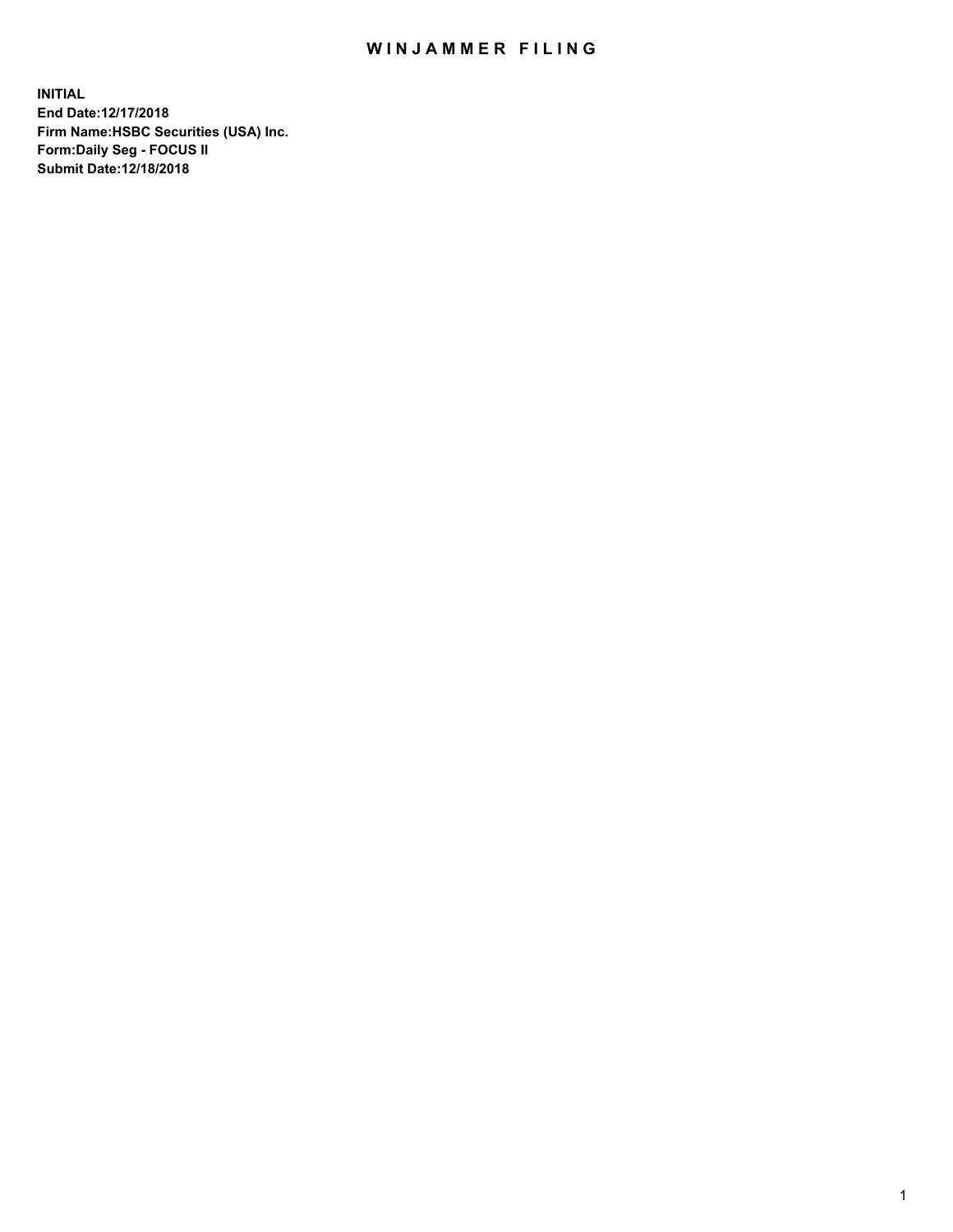## WIN JAMMER FILING

**INITIAL End Date:12/17/2018 Firm Name:HSBC Securities (USA) Inc. Form:Daily Seg - FOCUS II Submit Date:12/18/2018**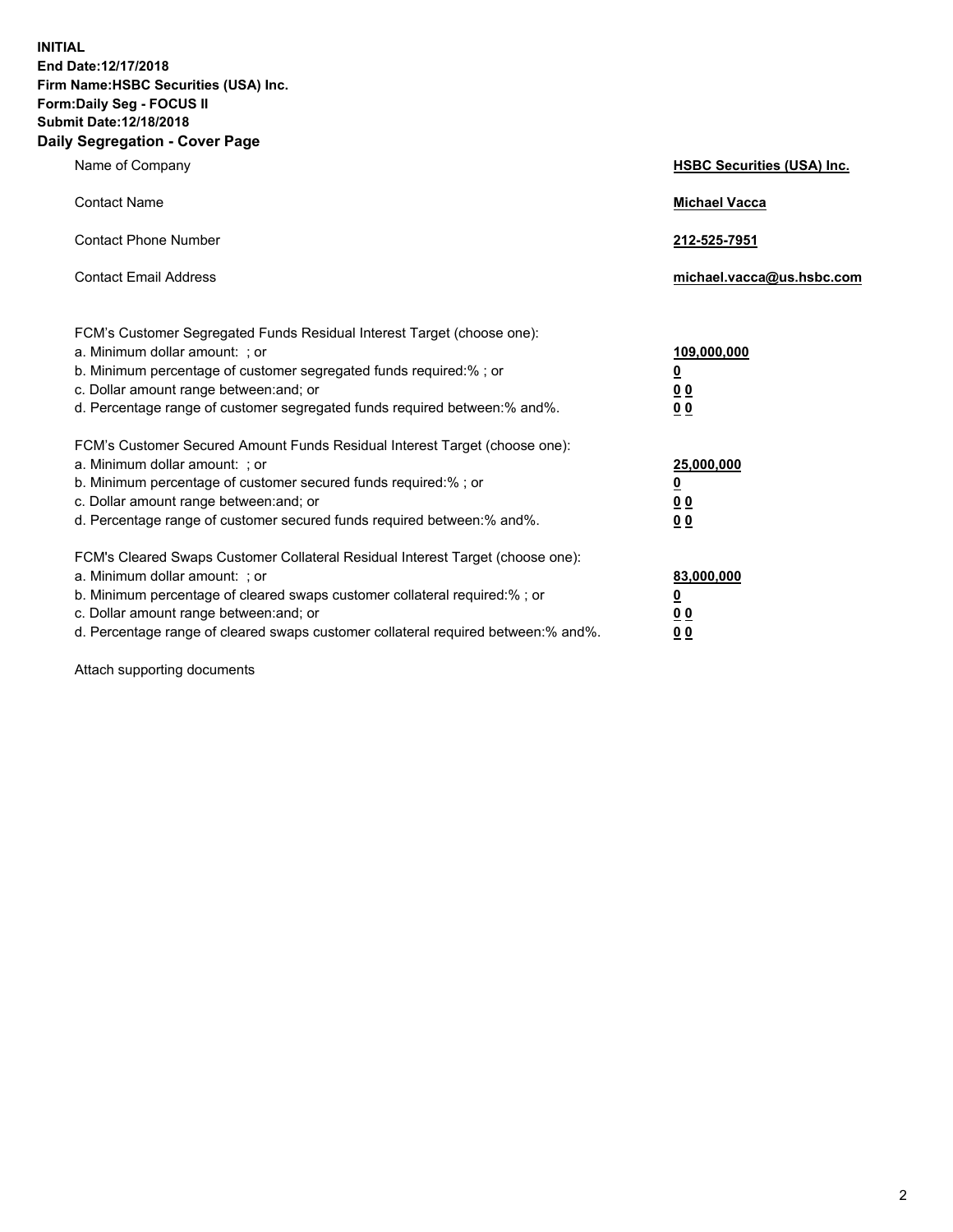**INITIAL End Date:12/17/2018 Firm Name:HSBC Securities (USA) Inc. Form:Daily Seg - FOCUS II Submit Date:12/18/2018 Daily Segregation - Cover Page**

| Name of Company                                                                                                                                                                                                                                                                                                                | <b>HSBC Securities (USA) Inc.</b>                           |
|--------------------------------------------------------------------------------------------------------------------------------------------------------------------------------------------------------------------------------------------------------------------------------------------------------------------------------|-------------------------------------------------------------|
| <b>Contact Name</b>                                                                                                                                                                                                                                                                                                            | <b>Michael Vacca</b>                                        |
| <b>Contact Phone Number</b>                                                                                                                                                                                                                                                                                                    | 212-525-7951                                                |
| <b>Contact Email Address</b>                                                                                                                                                                                                                                                                                                   | michael.vacca@us.hsbc.com                                   |
| FCM's Customer Segregated Funds Residual Interest Target (choose one):<br>a. Minimum dollar amount: ; or<br>b. Minimum percentage of customer segregated funds required:% ; or<br>c. Dollar amount range between: and; or<br>d. Percentage range of customer segregated funds required between:% and%.                         | 109,000,000<br><u>0</u><br>0 <sub>0</sub><br>0 <sub>0</sub> |
| FCM's Customer Secured Amount Funds Residual Interest Target (choose one):<br>a. Minimum dollar amount: ; or<br>b. Minimum percentage of customer secured funds required:% ; or<br>c. Dollar amount range between: and; or<br>d. Percentage range of customer secured funds required between: % and %.                         | 25,000,000<br><u>0</u><br>0 <sub>0</sub><br>0 <sub>0</sub>  |
| FCM's Cleared Swaps Customer Collateral Residual Interest Target (choose one):<br>a. Minimum dollar amount: ; or<br>b. Minimum percentage of cleared swaps customer collateral required:% ; or<br>c. Dollar amount range between: and; or<br>d. Percentage range of cleared swaps customer collateral required between:% and%. | 83,000,000<br><u>0</u><br>00<br>00                          |

Attach supporting documents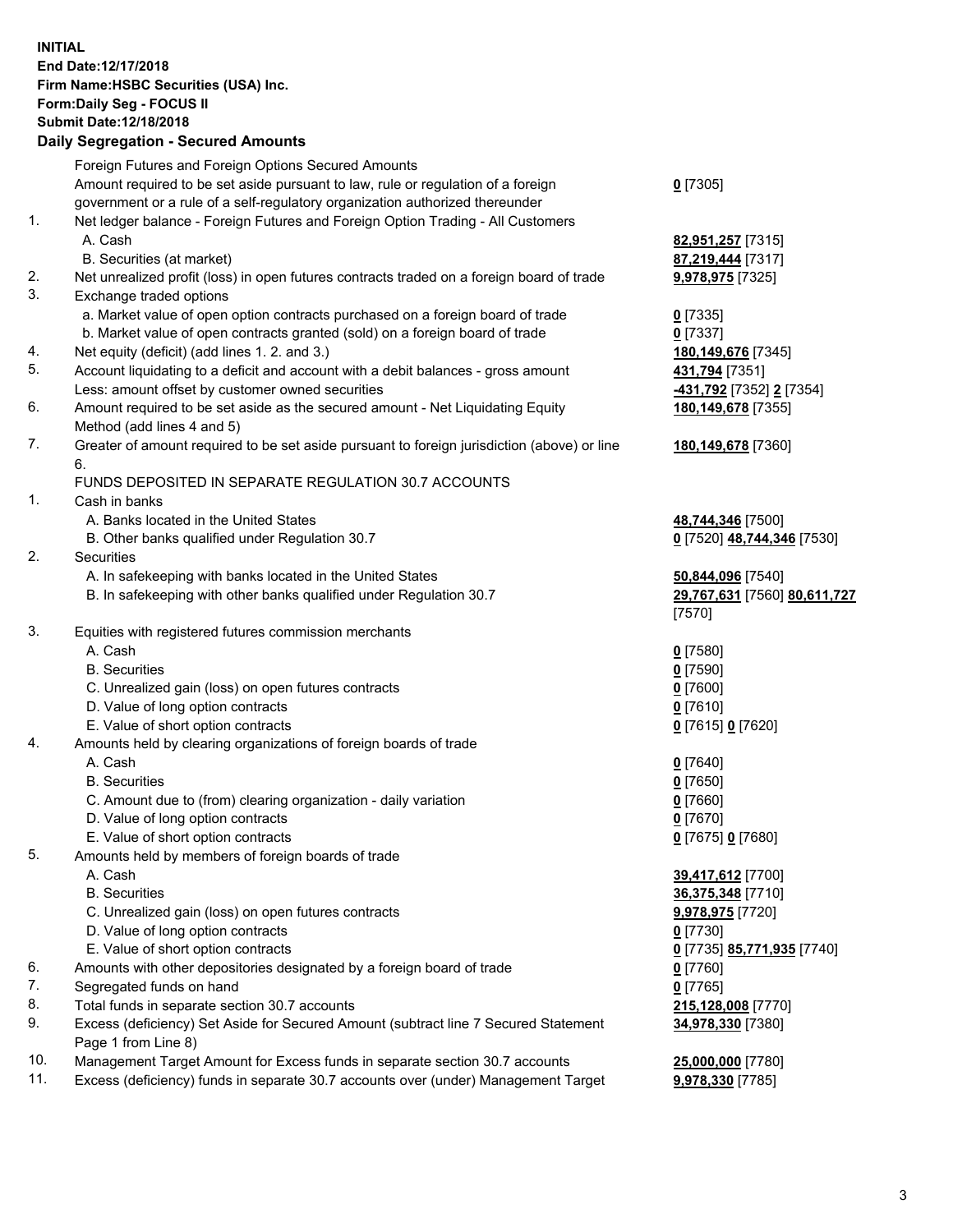**INITIAL End Date:12/17/2018 Firm Name:HSBC Securities (USA) Inc. Form:Daily Seg - FOCUS II Submit Date:12/18/2018 Daily Segregation - Secured Amounts** Foreign Futures and Foreign Options Secured Amounts Amount required to be set aside pursuant to law, rule or regulation of a foreign government or a rule of a self-regulatory organization authorized thereunder **0** [7305] 1. Net ledger balance - Foreign Futures and Foreign Option Trading - All Customers A. Cash **82,951,257** [7315] B. Securities (at market) **87,219,444** [7317] 2. Net unrealized profit (loss) in open futures contracts traded on a foreign board of trade **9,978,975** [7325] 3. Exchange traded options a. Market value of open option contracts purchased on a foreign board of trade **0** [7335] b. Market value of open contracts granted (sold) on a foreign board of trade **0** [7337] 4. Net equity (deficit) (add lines 1. 2. and 3.) **180,149,676** [7345] 5. Account liquidating to a deficit and account with a debit balances - gross amount **431,794** [7351] Less: amount offset by customer owned securities **-431,792** [7352] **2** [7354] 6. Amount required to be set aside as the secured amount - Net Liquidating Equity Method (add lines 4 and 5) **180,149,678** [7355] 7. Greater of amount required to be set aside pursuant to foreign jurisdiction (above) or line 6. **180,149,678** [7360] FUNDS DEPOSITED IN SEPARATE REGULATION 30.7 ACCOUNTS 1. Cash in banks A. Banks located in the United States **48,744,346** [7500] B. Other banks qualified under Regulation 30.7 **0** [7520] **48,744,346** [7530] 2. Securities A. In safekeeping with banks located in the United States **50,844,096** [7540] B. In safekeeping with other banks qualified under Regulation 30.7 **29,767,631** [7560] **80,611,727** [7570] 3. Equities with registered futures commission merchants A. Cash **0** [7580] B. Securities **0** [7590] C. Unrealized gain (loss) on open futures contracts **0** [7600] D. Value of long option contracts **0** [7610] E. Value of short option contracts **0** [7615] **0** [7620] 4. Amounts held by clearing organizations of foreign boards of trade A. Cash **0** [7640] B. Securities **0** [7650] C. Amount due to (from) clearing organization - daily variation **0** [7660] D. Value of long option contracts **0** [7670] E. Value of short option contracts **0** [7675] **0** [7680] 5. Amounts held by members of foreign boards of trade A. Cash **39,417,612** [7700] B. Securities **36,375,348** [7710] C. Unrealized gain (loss) on open futures contracts **9,978,975** [7720] D. Value of long option contracts **0** [7730] E. Value of short option contracts **0** [7735] **85,771,935** [7740] 6. Amounts with other depositories designated by a foreign board of trade **0** [7760] 7. Segregated funds on hand **0** [7765] 8. Total funds in separate section 30.7 accounts **215,128,008** [7770] 9. Excess (deficiency) Set Aside for Secured Amount (subtract line 7 Secured Statement **34,978,330** [7380]

Page 1 from Line 8)

10. Management Target Amount for Excess funds in separate section 30.7 accounts **25,000,000** [7780] 11. Excess (deficiency) funds in separate 30.7 accounts over (under) Management Target **9,978,330** [7785]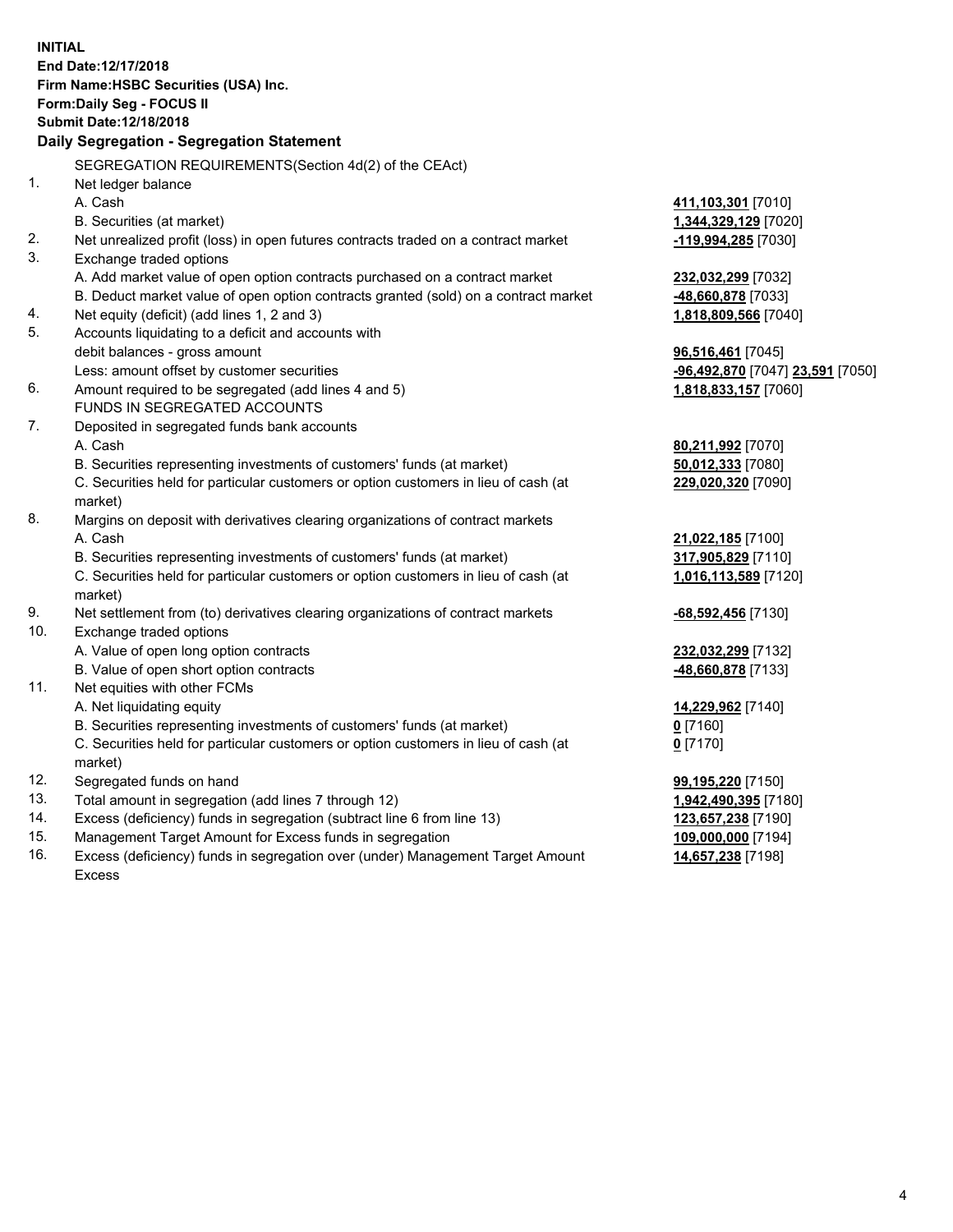|     | <b>INITIAL</b><br>End Date:12/17/2018<br>Firm Name: HSBC Securities (USA) Inc.<br><b>Form:Daily Seg - FOCUS II</b><br><b>Submit Date: 12/18/2018</b><br>Daily Segregation - Segregation Statement |                                  |
|-----|---------------------------------------------------------------------------------------------------------------------------------------------------------------------------------------------------|----------------------------------|
|     | SEGREGATION REQUIREMENTS (Section 4d(2) of the CEAct)                                                                                                                                             |                                  |
| 1.  | Net ledger balance                                                                                                                                                                                |                                  |
|     | A. Cash                                                                                                                                                                                           | 411,103,301 [7010]               |
|     | B. Securities (at market)                                                                                                                                                                         | 1,344,329,129 [7020]             |
| 2.  | Net unrealized profit (loss) in open futures contracts traded on a contract market                                                                                                                | -119,994,285 [7030]              |
| 3.  | Exchange traded options                                                                                                                                                                           |                                  |
|     | A. Add market value of open option contracts purchased on a contract market                                                                                                                       | 232,032,299 [7032]               |
|     | B. Deduct market value of open option contracts granted (sold) on a contract market                                                                                                               | <u>-48,660,878</u> [7033]        |
| 4.  | Net equity (deficit) (add lines 1, 2 and 3)                                                                                                                                                       | 1,818,809,566 [7040]             |
| 5.  | Accounts liquidating to a deficit and accounts with                                                                                                                                               |                                  |
|     | debit balances - gross amount                                                                                                                                                                     | 96,516,461 [7045]                |
|     | Less: amount offset by customer securities                                                                                                                                                        | -96,492,870 [7047] 23,591 [7050] |
| 6.  | Amount required to be segregated (add lines 4 and 5)                                                                                                                                              | 1,818,833,157 [7060]             |
|     | <b>FUNDS IN SEGREGATED ACCOUNTS</b>                                                                                                                                                               |                                  |
| 7.  | Deposited in segregated funds bank accounts                                                                                                                                                       |                                  |
|     | A. Cash                                                                                                                                                                                           | 80,211,992 [7070]                |
|     | B. Securities representing investments of customers' funds (at market)                                                                                                                            | 50,012,333 [7080]                |
|     | C. Securities held for particular customers or option customers in lieu of cash (at<br>market)                                                                                                    | 229,020,320 [7090]               |
| 8.  | Margins on deposit with derivatives clearing organizations of contract markets                                                                                                                    |                                  |
|     | A. Cash                                                                                                                                                                                           | 21,022,185 [7100]                |
|     | B. Securities representing investments of customers' funds (at market)                                                                                                                            | 317,905,829 [7110]               |
|     | C. Securities held for particular customers or option customers in lieu of cash (at<br>market)                                                                                                    | 1,016,113,589 [7120]             |
| 9.  | Net settlement from (to) derivatives clearing organizations of contract markets                                                                                                                   | <u>-68,592,456</u> [7130]        |
| 10. | Exchange traded options                                                                                                                                                                           |                                  |
|     | A. Value of open long option contracts                                                                                                                                                            | <u>232,032,299</u> [7132]        |
|     | B. Value of open short option contracts                                                                                                                                                           | 48,660,878 [7133]                |
| 11. | Net equities with other FCMs                                                                                                                                                                      |                                  |
|     | A. Net liquidating equity                                                                                                                                                                         | 14,229,962 [7140]                |
|     | B. Securities representing investments of customers' funds (at market)                                                                                                                            | $0$ [7160]                       |
|     | C. Securities held for particular customers or option customers in lieu of cash (at                                                                                                               | 0 <sup>[7170]</sup>              |
|     | market)                                                                                                                                                                                           |                                  |
| 12. | Segregated funds on hand                                                                                                                                                                          | 99,195,220 [7150]                |
| 13. | Total amount in segregation (add lines 7 through 12)                                                                                                                                              | 1,942,490,395 [7180]             |
| 14. | Excess (deficiency) funds in segregation (subtract line 6 from line 13)                                                                                                                           | 123,657,238 [7190]               |
| 15. | Management Target Amount for Excess funds in segregation                                                                                                                                          | 109,000,000 [7194]               |

16. Excess (deficiency) funds in segregation over (under) Management Target Amount Excess

**14,657,238** [7198]